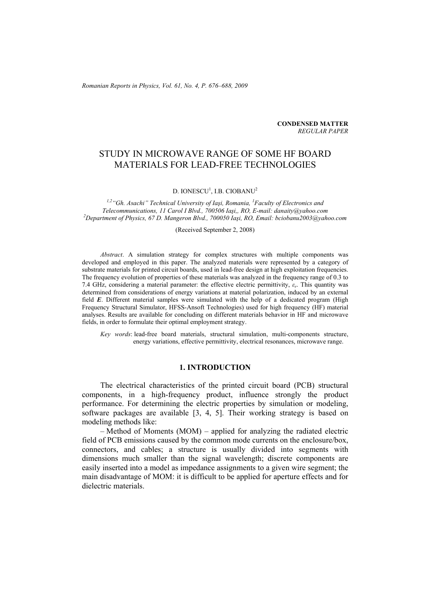*Romanian Reports in Physics, Vol. 61, No. 4, P. 676–688, 2009*

**CONDENSED MATTER**  *REGULAR PAPER* 

# STUDY IN MICROWAVE RANGE OF SOME HF BOARD MATERIALS FOR LEAD-FREE TECHNOLOGIES

D. IONESCU<sup>1</sup>, I.B. CIOBANU<sup>2</sup>

<sup>1,2</sup> "Gh. Asachi" Technical University of Iaşi, Romania, <sup>1</sup> Faculty of Electronics and *Telecommunications, 11 Carol I Blvd., 700506 Iaşi,, RO, E-mail: danaity@yahoo.com 2 Department of Physics, 67 D. Mangeron Blvd., 700050 Iaşi, RO, Email: bciobanu2003@yahoo.com* 

(Received September 2, 2008)

*Abstract*. A simulation strategy for complex structures with multiple components was developed and employed in this paper. The analyzed materials were represented by a category of substrate materials for printed circuit boards, used in lead-free design at high exploitation frequencies. The frequency evolution of properties of these materials was analyzed in the frequency range of 0.3 to 7.4 GHz, considering a material parameter: the effective electric permittivity, *εr*. This quantity was determined from considerations of energy variations at material polarization, induced by an external field *E*. Different material samples were simulated with the help of a dedicated program (High Frequency Structural Simulator, HFSS-Ansoft Technologies) used for high frequency (HF) material analyses. Results are available for concluding on different materials behavior in HF and microwave fields, in order to formulate their optimal employment strategy.

*Key words*: lead-free board materials, structural simulation, multi-components structure, energy variations, effective permittivity, electrical resonances, microwave range.

# **1. INTRODUCTION**

The electrical characteristics of the printed circuit board (PCB) structural components, in a high-frequency product, influence strongly the product performance. For determining the electric properties by simulation or modeling, software packages are available [3, 4, 5]. Their working strategy is based on modeling methods like:

– Method of Moments (MOM) – applied for analyzing the radiated electric field of PCB emissions caused by the common mode currents on the enclosure/box, connectors, and cables; a structure is usually divided into segments with dimensions much smaller than the signal wavelength; discrete components are easily inserted into a model as impedance assignments to a given wire segment; the main disadvantage of MOM: it is difficult to be applied for aperture effects and for dielectric materials.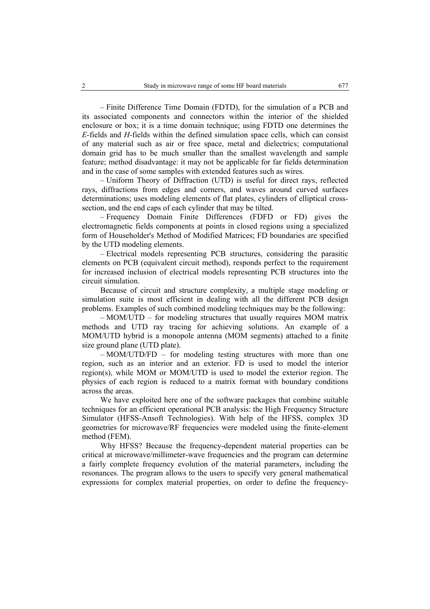– Finite Difference Time Domain (FDTD), for the simulation of a PCB and its associated components and connectors within the interior of the shielded enclosure or box; it is a time domain technique; using FDTD one determines the *E*-fields and *H*-fields within the defined simulation space cells, which can consist of any material such as air or free space, metal and dielectrics; computational domain grid has to be much smaller than the smallest wavelength and sample feature; method disadvantage: it may not be applicable for far fields determination and in the case of some samples with extended features such as wires.

– Uniform Theory of Diffraction (UTD) is useful for direct rays, reflected rays, diffractions from edges and corners, and waves around curved surfaces determinations; uses modeling elements of flat plates, cylinders of elliptical crosssection, and the end caps of each cylinder that may be tilted.

– Frequency Domain Finite Differences (FDFD or FD) gives the electromagnetic fields components at points in closed regions using a specialized form of Householder's Method of Modified Matrices; FD boundaries are specified by the UTD modeling elements.

– Electrical models representing PCB structures, considering the parasitic elements on PCB (equivalent circuit method), responds perfect to the requirement for increased inclusion of electrical models representing PCB structures into the circuit simulation.

Because of circuit and structure complexity, a multiple stage modeling or simulation suite is most efficient in dealing with all the different PCB design problems. Examples of such combined modeling techniques may be the following:

– MOM/UTD – for modeling structures that usually requires MOM matrix methods and UTD ray tracing for achieving solutions. An example of a MOM/UTD hybrid is a monopole antenna (MOM segments) attached to a finite size ground plane (UTD plate).

– MOM/UTD/FD – for modeling testing structures with more than one region, such as an interior and an exterior. FD is used to model the interior region(s), while MOM or MOM/UTD is used to model the exterior region. The physics of each region is reduced to a matrix format with boundary conditions across the areas.

We have exploited here one of the software packages that combine suitable techniques for an efficient operational PCB analysis: the High Frequency Structure Simulator (HFSS-Ansoft Technologies). With help of the HFSS, complex 3D geometries for microwave/RF frequencies were modeled using the finite-element method (FEM).

Why HFSS? Because the frequency-dependent material properties can be critical at microwave/millimeter-wave frequencies and the program can determine a fairly complete frequency evolution of the material parameters, including the resonances. The program allows to the users to specify very general mathematical expressions for complex material properties, on order to define the frequency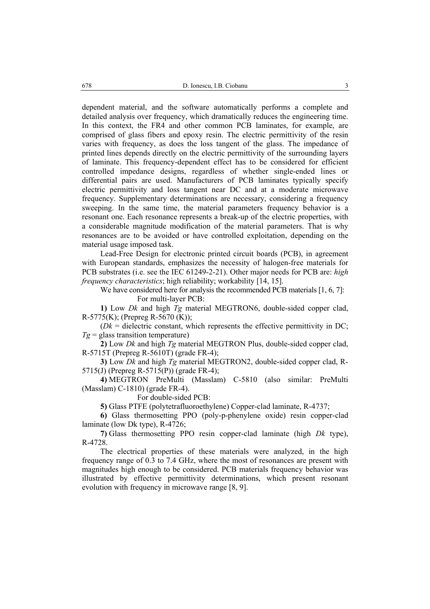dependent material, and the software automatically performs a complete and detailed analysis over frequency, which dramatically reduces the engineering time. In this context, the FR4 and other common PCB laminates, for example, are comprised of glass fibers and epoxy resin. The electric permittivity of the resin varies with frequency, as does the loss tangent of the glass. The impedance of printed lines depends directly on the electric permittivity of the surrounding layers of laminate. This frequency-dependent effect has to be considered for efficient controlled impedance designs, regardless of whether single-ended lines or differential pairs are used. Manufacturers of PCB laminates typically specify electric permittivity and loss tangent near DC and at a moderate microwave frequency. Supplementary determinations are necessary, considering a frequency sweeping. In the same time, the material parameters frequency behavior is a resonant one. Each resonance represents a break-up of the electric properties, with a considerable magnitude modification of the material parameters. That is why resonances are to be avoided or have controlled exploitation, depending on the material usage imposed task.

Lead-Free Design for electronic printed circuit boards (PCB), in agreement with European standards, emphasizes the necessity of halogen-free materials for PCB substrates (i.e. see the IEC 61249-2-21). Other major needs for PCB are: *high frequency characteristics*; high reliability; workability [14, 15].

We have considered here for analysis the recommended PCB materials [1, 6, 7]: For multi-layer PCB:

**1)** Low *Dk* and high *Tg* material MEGTRON6, double-sided copper clad, R-5775(K); (Prepreg R-5670 (K));

 $(Dk =$  dielectric constant, which represents the effective permittivity in DC;  $Tg =$  glass transition temperature)

**2)** Low *Dk* and high *Tg* material MEGTRON Plus, double-sided copper clad, R-5715T (Prepreg R-5610T) (grade FR-4);

**3)** Low *Dk* and high *Tg* material MEGTRON2, double-sided copper clad, R-5715(J) (Prepreg R-5715(P)) (grade FR-4);

**4)** MEGTRON PreMulti (Masslam) C-5810 (also similar: PreMulti (Masslam) C-1810) (grade FR-4).

For double-sided PCB:

**5)** Glass PTFE (polytetrafluoroethylene) Copper-clad laminate, R-4737;

**6)** Glass thermosetting PPO (poly-p-phenylene oxide) resin copper-clad laminate (low Dk type), R-4726;

**7)** Glass thermosetting PPO resin copper-clad laminate (high *Dk* type), R-4728.

The electrical properties of these materials were analyzed, in the high frequency range of 0.3 to 7.4 GHz, where the most of resonances are present with magnitudes high enough to be considered. PCB materials frequency behavior was illustrated by effective permittivity determinations, which present resonant evolution with frequency in microwave range [8, 9].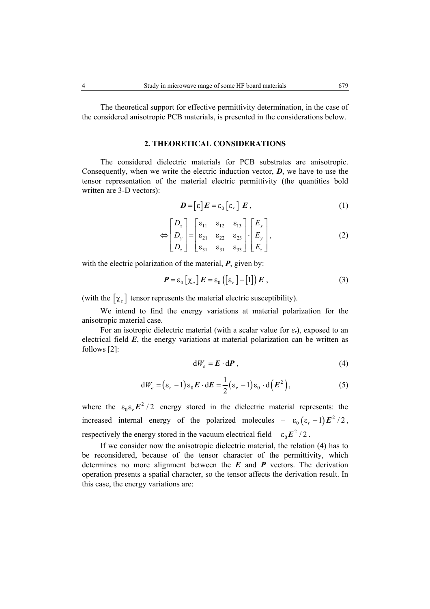The theoretical support for effective permittivity determination, in the case of the considered anisotropic PCB materials, is presented in the considerations below.

## **2. THEORETICAL CONSIDERATIONS**

 The considered dielectric materials for PCB substrates are anisotropic. Consequently, when we write the electric induction vector, *D*, we have to use the tensor representation of the material electric permittivity (the quantities bold written are 3-D vectors):

$$
\boldsymbol{D} = [\varepsilon] \boldsymbol{E} = \varepsilon_0 [\varepsilon_r] \boldsymbol{E} \,, \tag{1}
$$

$$
\Leftrightarrow \begin{bmatrix} D_x \\ D_y \\ D_z \end{bmatrix} = \begin{bmatrix} \varepsilon_{11} & \varepsilon_{12} & \varepsilon_{13} \\ \varepsilon_{21} & \varepsilon_{22} & \varepsilon_{23} \\ \varepsilon_{31} & \varepsilon_{31} & \varepsilon_{33} \end{bmatrix} \cdot \begin{bmatrix} E_x \\ E_y \\ E_z \end{bmatrix},\tag{2}
$$

with the electric polarization of the material, *P*, given by:

$$
\boldsymbol{P} = \varepsilon_0 \left[ \chi_e \right] \boldsymbol{E} = \varepsilon_0 \left( \left[ \varepsilon_r \right] - \left[ 1 \right] \right) \boldsymbol{E} \tag{3}
$$

(with the  $[\chi_e]$  tensor represents the material electric susceptibility).

 We intend to find the energy variations at material polarization for the anisotropic material case.

For an isotropic dielectric material (with a scalar value for  $\varepsilon_r$ ), exposed to an electrical field  $E$ , the energy variations at material polarization can be written as follows [2]:

$$
dW_e = \boldsymbol{E} \cdot d\boldsymbol{P} \,, \tag{4}
$$

$$
dW_e = (\varepsilon_r - 1)\varepsilon_0 \mathbf{E} \cdot d\mathbf{E} = \frac{1}{2} (\varepsilon_r - 1)\varepsilon_0 \cdot d(\mathbf{E}^2), \qquad (5)
$$

where the  $\varepsilon_0 \varepsilon_r E^2 / 2$  energy stored in the dielectric material represents: the increased internal energy of the polarized molecules –  $\varepsilon_0 (\varepsilon_r - 1) E^2 / 2$ , respectively the energy stored in the vacuum electrical field  $- \varepsilon_0 E^2 / 2$ .

 If we consider now the anisotropic dielectric material, the relation (4) has to be reconsidered, because of the tensor character of the permittivity, which determines no more alignment between the *E* and *P* vectors. The derivation operation presents a spatial character, so the tensor affects the derivation result. In this case, the energy variations are: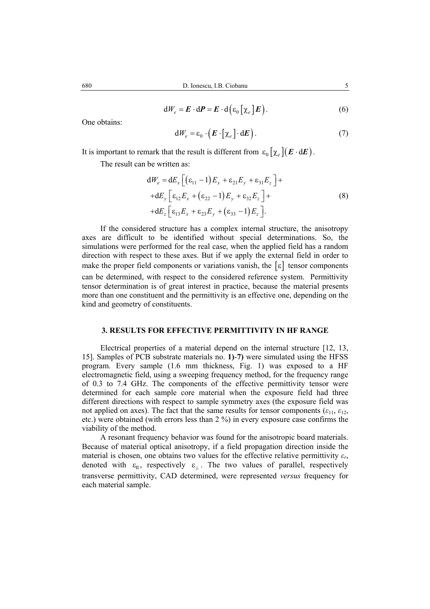$$
dW_e = \boldsymbol{E} \cdot d\boldsymbol{P} = \boldsymbol{E} \cdot d\left(\varepsilon_0 \left[\chi_e\right] \boldsymbol{E}\right). \tag{6}
$$

One obtains:

$$
dW_e = \varepsilon_0 \cdot (E \cdot [\chi_e] \cdot dE). \tag{7}
$$

It is important to remark that the result is different from  $\varepsilon_0 \left[ \chi_e \right] \left( E \cdot dE \right)$ .

The result can be written as:

$$
dW_e = dE_x \left[ \left( \varepsilon_{11} - 1 \right) E_x + \varepsilon_{21} E_y + \varepsilon_{31} E_z \right] +
$$
  
+
$$
+ dE_y \left[ \varepsilon_{12} E_x + \left( \varepsilon_{22} - 1 \right) E_y + \varepsilon_{32} E_z \right] +
$$
  
+
$$
dE_z \left[ \varepsilon_{13} E_x + \varepsilon_{23} E_y + \left( \varepsilon_{33} - 1 \right) E_z \right].
$$
 (8)

If the considered structure has a complex internal structure, the anisotropy axes are difficult to be identified without special determinations. So, the simulations were performed for the real case, when the applied field has a random direction with respect to these axes. But if we apply the external field in order to make the proper field components or variations vanish, the  $\lceil \varepsilon \rceil$  tensor components can be determined, with respect to the considered reference system. Permittivity tensor determination is of great interest in practice, because the material presents more than one constituent and the permittivity is an effective one, depending on the kind and geometry of constituents.

# **3. RESULTS FOR EFFECTIVE PERMITTIVITY IN HF RANGE**

 Electrical properties of a material depend on the internal structure [12, 13, 15]. Samples of PCB substrate materials no. **1)**-**7)** were simulated using the HFSS program. Every sample (1.6 mm thickness, Fig. 1) was exposed to a HF electromagnetic field, using a sweeping frequency method, for the frequency range of 0.3 to 7.4 GHz. The components of the effective permittivity tensor were determined for each sample core material when the exposure field had three different directions with respect to sample symmetry axes (the exposure field was not applied on axes). The fact that the same results for tensor components ( $\varepsilon_{11}$ ,  $\varepsilon_{12}$ , etc.) were obtained (with errors less than 2 %) in every exposure case confirms the viability of the method.

 A resonant frequency behavior was found for the anisotropic board materials. Because of material optical anisotropy, if a field propagation direction inside the material is chosen, one obtains two values for the effective relative permittivity  $\varepsilon_r$ , denoted with  $\varepsilon_{\parallel}$ , respectively  $\varepsilon_{\perp}$ . The two values of parallel, respectively transverse permittivity, CAD determined, were represented *versus* frequency for each material sample.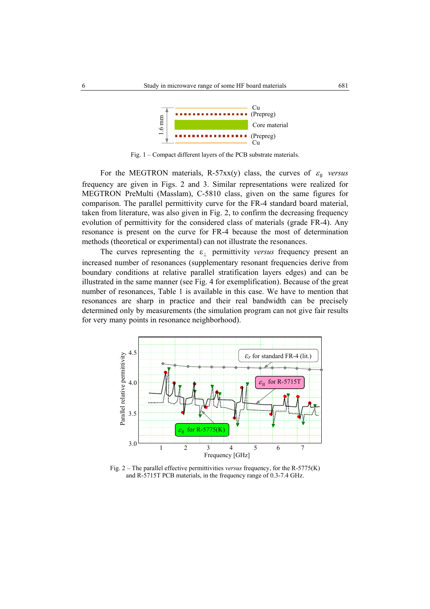

Fig. 1 – Compact different layers of the PCB substrate materials.

For the MEGTRON materials, R-57xx(y) class, the curves of  $\varepsilon_{\parallel}$  versus frequency are given in Figs. 2 and 3. Similar representations were realized for MEGTRON PreMulti (Masslam), C-5810 class, given on the same figures for comparison. The parallel permittivity curve for the FR-4 standard board material, taken from literature, was also given in Fig. 2, to confirm the decreasing frequency evolution of permittivity for the considered class of materials (grade FR-4). Any resonance is present on the curve for FR-4 because the most of determination methods (theoretical or experimental) can not illustrate the resonances.

The curves representing the  $\varepsilon_1$  permittivity *versus* frequency present an increased number of resonances (supplementary resonant frequencies derive from boundary conditions at relative parallel stratification layers edges) and can be illustrated in the same manner (see Fig. 4 for exemplification). Because of the great number of resonances, Table 1 is available in this case. We have to mention that resonances are sharp in practice and their real bandwidth can be precisely determined only by measurements (the simulation program can not give fair results for very many points in resonance neighborhood).



Fig. 2 – The parallel effective permittivities *versus* frequency, for the R-5775(K) and R-5715T PCB materials, in the frequency range of 0.3-7.4 GHz.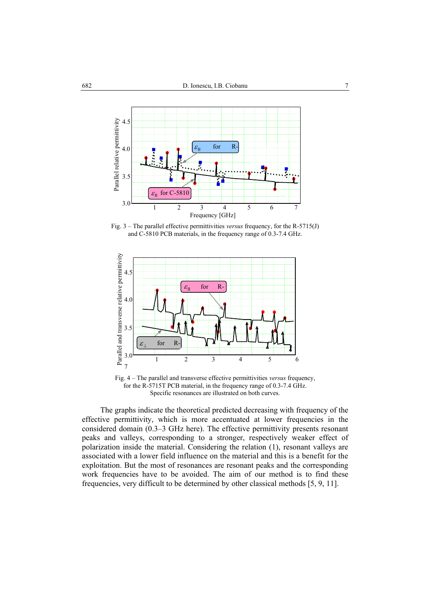

Fig. 3 – The parallel effective permittivities *versus* frequency, for the R-5715(J) and C-5810 PCB materials, in the frequency range of 0.3-7.4 GHz.



Fig. 4 – The parallel and transverse effective permittivities *versus* frequency, for the R-5715T PCB material, in the frequency range of 0.3-7.4 GHz. Specific resonances are illustrated on both curves.

 The graphs indicate the theoretical predicted decreasing with frequency of the effective permittivity, which is more accentuated at lower frequencies in the considered domain (0.3–3 GHz here). The effective permittivity presents resonant peaks and valleys, corresponding to a stronger, respectively weaker effect of polarization inside the material. Considering the relation (1), resonant valleys are associated with a lower field influence on the material and this is a benefit for the exploitation. But the most of resonances are resonant peaks and the corresponding work frequencies have to be avoided. The aim of our method is to find these frequencies, very difficult to be determined by other classical methods [5, 9, 11].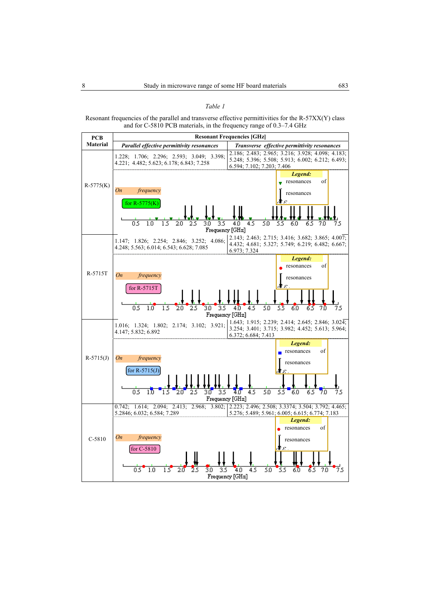#### *Table 1*

#### Resonant frequencies of the parallel and transverse effective permittivities for the R-57XX(Y) class and for C-5810 PCB materials, in the frequency range of 0.3–7.4 GHz

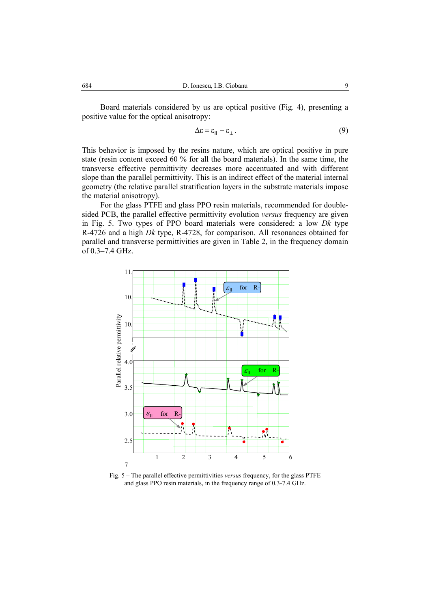Board materials considered by us are optical positive (Fig. 4), presenting a positive value for the optical anisotropy:

$$
\Delta \varepsilon = \varepsilon_{\parallel} - \varepsilon_{\perp} \,. \tag{9}
$$

This behavior is imposed by the resins nature, which are optical positive in pure state (resin content exceed 60 % for all the board materials). In the same time, the transverse effective permittivity decreases more accentuated and with different slope than the parallel permittivity. This is an indirect effect of the material internal geometry (the relative parallel stratification layers in the substrate materials impose the material anisotropy).

For the glass PTFE and glass PPO resin materials, recommended for doublesided PCB, the parallel effective permittivity evolution *versus* frequency are given in Fig. 5. Two types of PPO board materials were considered: a low *Dk* type R-4726 and a high *Dk* type, R-4728, for comparison. All resonances obtained for parallel and transverse permittivities are given in Table 2, in the frequency domain of 0.3–7.4 GHz.



Fig. 5 – The parallel effective permittivities *versus* frequency, for the glass PTFE and glass PPO resin materials, in the frequency range of 0.3-7.4 GHz.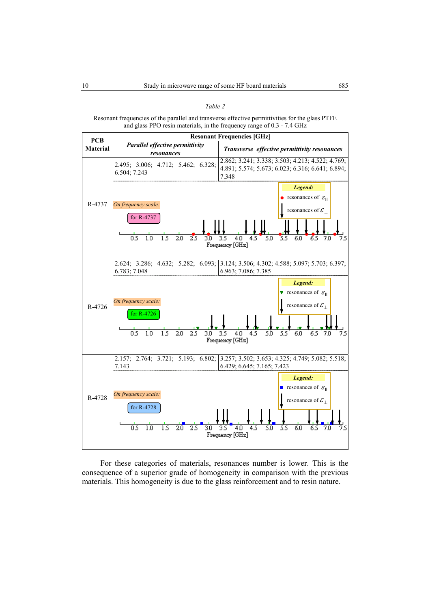|--|--|

Resonant frequencies of the parallel and transverse effective permittivities for the glass PTFE and glass PPO resin materials, in the frequency range of 0.3 - 7.4 GHz



For these categories of materials, resonances number is lower. This is the consequence of a superior grade of homogeneity in comparison with the previous materials. This homogeneity is due to the glass reinforcement and to resin nature.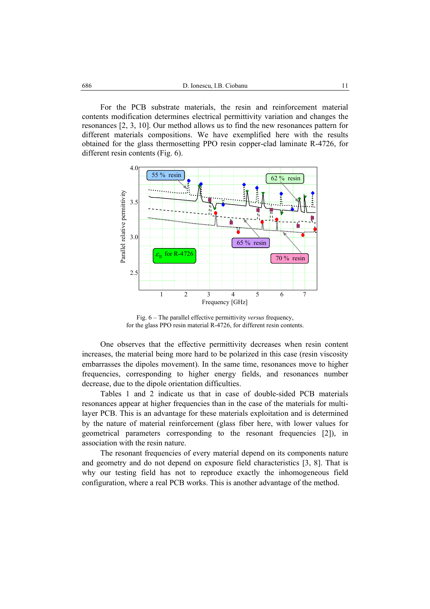For the PCB substrate materials, the resin and reinforcement material contents modification determines electrical permittivity variation and changes the resonances [2, 3, 10]. Our method allows us to find the new resonances pattern for different materials compositions. We have exemplified here with the results obtained for the glass thermosetting PPO resin copper-clad laminate R-4726, for different resin contents (Fig. 6).



Fig. 6 – The parallel effective permittivity *versus* frequency, for the glass PPO resin material R-4726, for different resin contents.

 One observes that the effective permittivity decreases when resin content increases, the material being more hard to be polarized in this case (resin viscosity embarrasses the dipoles movement). In the same time, resonances move to higher frequencies, corresponding to higher energy fields, and resonances number decrease, due to the dipole orientation difficulties.

Tables 1 and 2 indicate us that in case of double-sided PCB materials resonances appear at higher frequencies than in the case of the materials for multilayer PCB. This is an advantage for these materials exploitation and is determined by the nature of material reinforcement (glass fiber here, with lower values for geometrical parameters corresponding to the resonant frequencies [2]), in association with the resin nature.

 The resonant frequencies of every material depend on its components nature and geometry and do not depend on exposure field characteristics [3, 8]. That is why our testing field has not to reproduce exactly the inhomogeneous field configuration, where a real PCB works. This is another advantage of the method.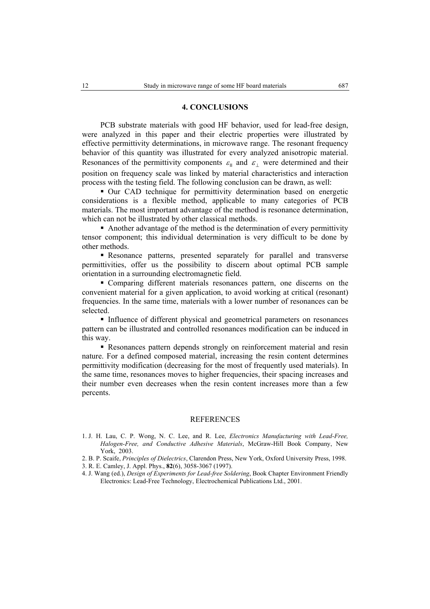## **4. CONCLUSIONS**

 PCB substrate materials with good HF behavior, used for lead-free design, were analyzed in this paper and their electric properties were illustrated by effective permittivity determinations, in microwave range. The resonant frequency behavior of this quantity was illustrated for every analyzed anisotropic material. Resonances of the permittivity components  $\varepsilon_{\parallel}$  and  $\varepsilon_{\perp}$  were determined and their position on frequency scale was linked by material characteristics and interaction process with the testing field. The following conclusion can be drawn, as well:

 Our CAD technique for permittivity determination based on energetic considerations is a flexible method, applicable to many categories of PCB materials. The most important advantage of the method is resonance determination, which can not be illustrated by other classical methods.

 Another advantage of the method is the determination of every permittivity tensor component; this individual determination is very difficult to be done by other methods.

 Resonance patterns, presented separately for parallel and transverse permittivities, offer us the possibility to discern about optimal PCB sample orientation in a surrounding electromagnetic field.

 Comparing different materials resonances pattern, one discerns on the convenient material for a given application, to avoid working at critical (resonant) frequencies. In the same time, materials with a lower number of resonances can be selected.

 Influence of different physical and geometrical parameters on resonances pattern can be illustrated and controlled resonances modification can be induced in this way.

 Resonances pattern depends strongly on reinforcement material and resin nature. For a defined composed material, increasing the resin content determines permittivity modification (decreasing for the most of frequently used materials). In the same time, resonances moves to higher frequencies, their spacing increases and their number even decreases when the resin content increases more than a few percents.

### REFERENCES

- 1. J. H. Lau, C. P. Wong, N. C. Lee, and R. Lee, *Electronics Manufacturing with Lead-Free, Halogen-Free, and Conductive Adhesive Materials*, McGraw-Hill Book Company, New York, 2003.
- 2. B. P. Scaife, *Principles of Dielectrics*, Clarendon Press, New York, Oxford University Press, 1998.
- 3. R. E. Camley, J. Appl. Phys., **82**(6), 3058-3067 (1997).
- 4. J. Wang (ed.), *Design of Experiments for Lead-free Soldering*, Book Chapter Environment Friendly Electronics: Lead-Free Technology, Electrochemical Publications Ltd., 2001.